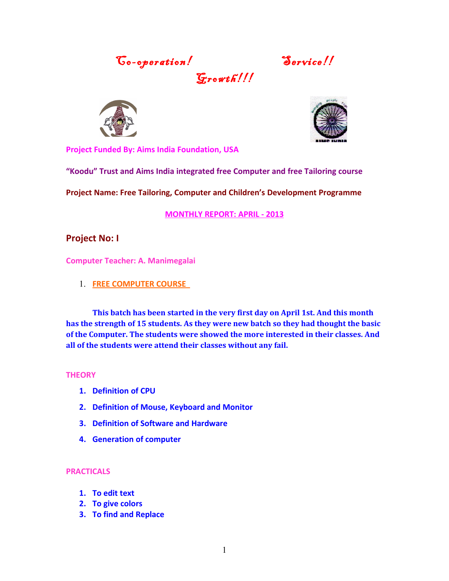Go-operation! Service!!

 $G$ rowth!!!





**Project Funded By: Aims India Foundation, USA**

**"Koodu" Trust and Aims India integrated free Computer and free Tailoring course**

**Project Name: Free Tailoring, Computer and Children's Development Programme**

**MONTHLY REPORT: APRIL - 2013**

## **Project No: I**

**Computer Teacher: A. Manimegalai**

1. **FREE COMPUTER COURSE** 

**This batch has been started in the very first day on April 1st. And this month has the strength of 15 students. As they were new batch so they had thought the basic of the Computer. The students were showed the more interested in their classes. And all of the students were attend their classes without any fail.**

### **THEORY**

- **1. Definition of CPU**
- **2. Definition of Mouse, Keyboard and Monitor**
- **3. Definition of Software and Hardware**
- **4. Generation of computer**

### **PRACTICALS**

- **1. To edit text**
- **2. To give colors**
- **3. To find and Replace**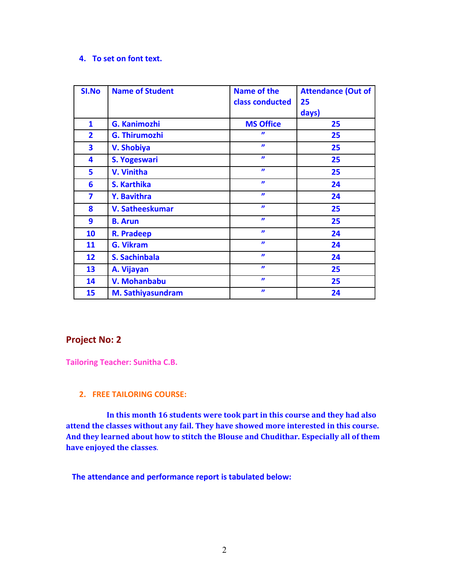#### **4. To set on font text.**

| <b>SI.No</b>   | <b>Name of Student</b>   | <b>Name of the</b><br>class conducted | <b>Attendance (Out of</b><br>25<br>days) |
|----------------|--------------------------|---------------------------------------|------------------------------------------|
| 1              | <b>G. Kanimozhi</b>      | <b>MS Office</b>                      | 25                                       |
| $\overline{2}$ | <b>G. Thirumozhi</b>     | $\boldsymbol{v}$                      | 25                                       |
| 3              | <b>V. Shobiya</b>        | $\boldsymbol{\eta}$                   | 25                                       |
| 4              | S. Yogeswari             | $\boldsymbol{\eta}$                   | 25                                       |
| 5              | <b>V. Vinitha</b>        | $\boldsymbol{v}$                      | 25                                       |
| 6              | S. Karthika              | $\boldsymbol{\eta}$                   | 24                                       |
| 7              | <b>Y. Bavithra</b>       | $\boldsymbol{v}$                      | 24                                       |
| 8              | V. Satheeskumar          | $\boldsymbol{\eta}$                   | 25                                       |
| 9              | <b>B.</b> Arun           | $\boldsymbol{\eta}$                   | 25                                       |
| 10             | <b>R. Pradeep</b>        | $\boldsymbol{v}$                      | 24                                       |
| 11             | <b>G. Vikram</b>         | $\boldsymbol{v}$                      | 24                                       |
| 12             | S. Sachinbala            | $\boldsymbol{\eta}$                   | 24                                       |
| 13             | A. Vijayan               | $\boldsymbol{\eta}$                   | 25                                       |
| 14             | V. Mohanbabu             | $\boldsymbol{\eta}$                   | 25                                       |
| 15             | <b>M. Sathiyasundram</b> | $\boldsymbol{\eta}$                   | 24                                       |

## **Project No: 2**

**Tailoring Teacher: Sunitha C.B.**

### **2. FREE TAILORING COURSE:**

 **In this month 16 students were took part in this course and they had also attend the classes without any fail. They have showed more interested in this course. And they learned about how to stitch the Blouse and Chudithar. Especially all of them have enjoyed the classes**.

 **The attendance and performance report is tabulated below:**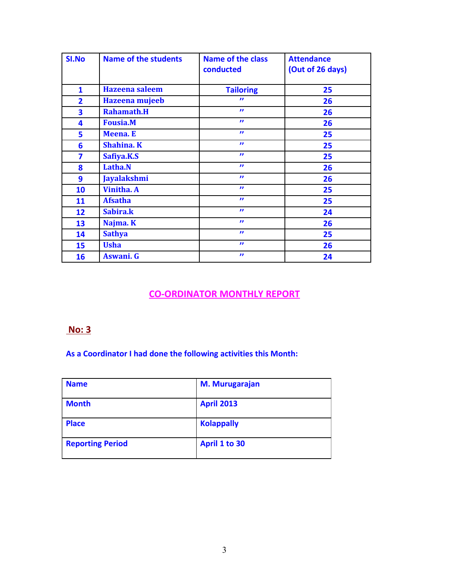| SI.No                   | <b>Name of the students</b> | <b>Name of the class</b><br>conducted | <b>Attendance</b><br>(Out of 26 days) |
|-------------------------|-----------------------------|---------------------------------------|---------------------------------------|
| 1                       | <b>Hazeena</b> saleem       | <b>Tailoring</b>                      | 25                                    |
| $\mathbf{2}$            | Hazeena mujeeb              | $\mathbf{H}$                          | 26                                    |
| 3                       | <b>Rahamath.H</b>           | $\boldsymbol{\eta}$                   | 26                                    |
| 4                       | <b>Fousia.M</b>             | $\mathbf{H}$                          | 26                                    |
| 5                       | <b>Meena.</b> E             | $\mathbf{H}$                          | 25                                    |
| 6                       | <b>Shahina. K</b>           | $\mathbf{H}$                          | 25                                    |
| $\overline{\mathbf{z}}$ | Safiya.K.S                  | $\mathbf{H}$                          | 25                                    |
| 8                       | <b>Latha.N</b>              | $\mathbf{H}$                          | 26                                    |
| 9                       | <b>Jayalakshmi</b>          | $\mathbf{H}$                          | 26                                    |
| 10                      | <b>Vinitha. A</b>           | $\mathbf{H}$                          | 25                                    |
| 11                      | <b>Afsatha</b>              | $\mathbf{H}$                          | 25                                    |
| 12                      | Sabira.k                    | $\mathbf{H}$                          | 24                                    |
| 13                      | Najma. K                    | $\mathbf{H}$                          | 26                                    |
| 14                      | <b>Sathya</b>               | $\mathbf{H}$                          | 25                                    |
| 15                      | <b>Usha</b>                 | $\boldsymbol{\eta}$                   | 26                                    |
| 16                      | Aswani. G                   | $\boldsymbol{\eta}$                   | 24                                    |

# **CO-ORDINATOR MONTHLY REPORT**

# **No: 3**

**As a Coordinator I had done the following activities this Month:**

| <b>Name</b>             | <b>M. Murugarajan</b> |
|-------------------------|-----------------------|
| <b>Month</b>            | <b>April 2013</b>     |
| <b>Place</b>            | <b>Kolappally</b>     |
| <b>Reporting Period</b> | April 1 to 30         |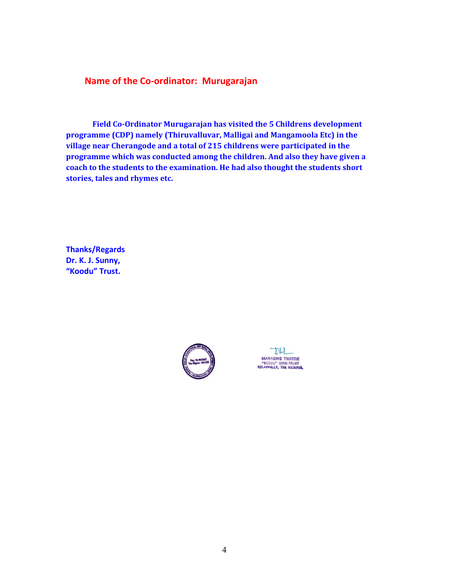# **Name of the Co-ordinator: Murugarajan**

**Field Co-Ordinator Murugarajan has visited the 5 Childrens development programme (CDP) namely (Thiruvalluvar, Malligai and Mangamoola Etc) in the village near Cherangode and a total of 215 childrens were participated in the programme which was conducted among the children. And also they have given a coach to the students to the examination. He had also thought the students short stories, tales and rhymes etc.**

**Thanks/Regards Dr. K. J. Sunny, "Koodu" Trust.**



ou MANAGING TRUSTEE<br>"KOODU" SERD-TRUST<br>KOLAPPALLY, THE NILGIRIS.